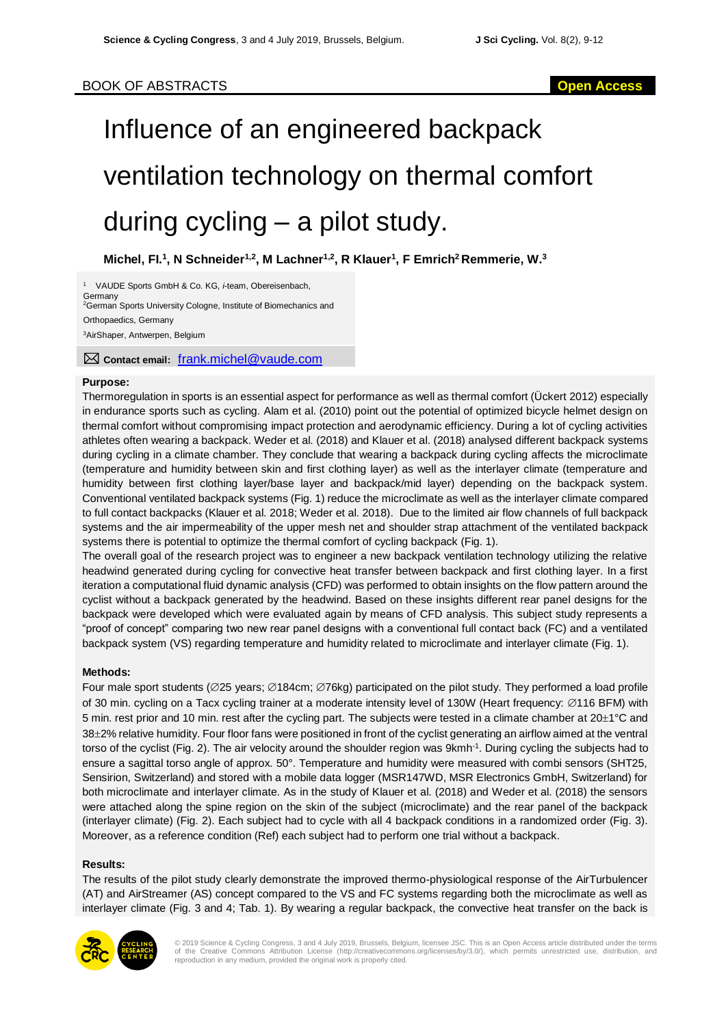# Influence of an engineered backpack ventilation technology on thermal comfort during cycling – a pilot study.

**Michel, FI. 1 , N Schneider1,2, M Lachner1,2, R Klauer<sup>1</sup> , F Emrich<sup>2</sup>Remmerie, W. 3**

<sup>1</sup> VAUDE Sports GmbH & Co. KG, *i*-team, Obereisenbach, **Germany** <sup>2</sup>German Sports University Cologne, Institute of Biomechanics and Orthopaedics, Germany <sup>3</sup>AirShaper, Antwerpen, Belgium

**Contact email:** [frank.michel@vaude.com](mailto:frank.michel@vaude.com)

## **Purpose:**

Thermoregulation in sports is an essential aspect for performance as well as thermal comfort (Ückert 2012) especially in endurance sports such as cycling. Alam et al. (2010) point out the potential of optimized bicycle helmet design on thermal comfort without compromising impact protection and aerodynamic efficiency. During a lot of cycling activities athletes often wearing a backpack. Weder et al. (2018) and Klauer et al. (2018) analysed different backpack systems during cycling in a climate chamber. They conclude that wearing a backpack during cycling affects the microclimate (temperature and humidity between skin and first clothing layer) as well as the interlayer climate (temperature and humidity between first clothing layer/base layer and backpack/mid layer) depending on the backpack system. Conventional ventilated backpack systems (Fig. 1) reduce the microclimate as well as the interlayer climate compared to full contact backpacks (Klauer et al. 2018; Weder et al. 2018). Due to the limited air flow channels of full backpack systems and the air impermeability of the upper mesh net and shoulder strap attachment of the ventilated backpack systems there is potential to optimize the thermal comfort of cycling backpack (Fig. 1).

The overall goal of the research project was to engineer a new backpack ventilation technology utilizing the relative headwind generated during cycling for convective heat transfer between backpack and first clothing layer. In a first iteration a computational fluid dynamic analysis (CFD) was performed to obtain insights on the flow pattern around the cyclist without a backpack generated by the headwind. Based on these insights different rear panel designs for the backpack were developed which were evaluated again by means of CFD analysis. This subject study represents a "proof of concept" comparing two new rear panel designs with a conventional full contact back (FC) and a ventilated backpack system (VS) regarding temperature and humidity related to microclimate and interlayer climate (Fig. 1).

### **Methods:**

Four male sport students ( $\varnothing$ 25 years;  $\varnothing$ 184cm;  $\varnothing$ 76kg) participated on the pilot study. They performed a load profile of 30 min. cycling on a Tacx cycling trainer at a moderate intensity level of 130W (Heart frequency:  $\emptyset$ 116 BFM) with 5 min. rest prior and 10 min. rest after the cycling part. The subjects were tested in a climate chamber at  $20\pm1\degree C$  and 38±2% relative humidity. Four floor fans were positioned in front of the cyclist generating an airflow aimed at the ventral torso of the cyclist (Fig. 2). The air velocity around the shoulder region was 9kmh<sup>-1</sup>. During cycling the subjects had to ensure a sagittal torso angle of approx. 50°. Temperature and humidity were measured with combi sensors (SHT25, Sensirion, Switzerland) and stored with a mobile data logger (MSR147WD, MSR Electronics GmbH, Switzerland) for both microclimate and interlayer climate. As in the study of Klauer et al. (2018) and Weder et al. (2018) the sensors were attached along the spine region on the skin of the subject (microclimate) and the rear panel of the backpack (interlayer climate) (Fig. 2). Each subject had to cycle with all 4 backpack conditions in a randomized order (Fig. 3). Moreover, as a reference condition (Ref) each subject had to perform one trial without a backpack.

### **Results:**

The results of the pilot study clearly demonstrate the improved thermo-physiological response of the AirTurbulencer (AT) and AirStreamer (AS) concept compared to the VS and FC systems regarding both the microclimate as well as interlayer climate (Fig. 3 and 4; Tab. 1). By wearing a regular backpack, the convective heat transfer on the back is



© 2019 Science & Cycling Congress, 3 and 4 July 2019, Brussels, Belgium, licensee JSC. This is an Open Access article distributed under the terms of the Creative Commons Attribution License (http://creativecommons.org/licenses/by/3.0/), which permits unrestricted use, distribution, and reproduction in any medium, provided the original work is properly cited.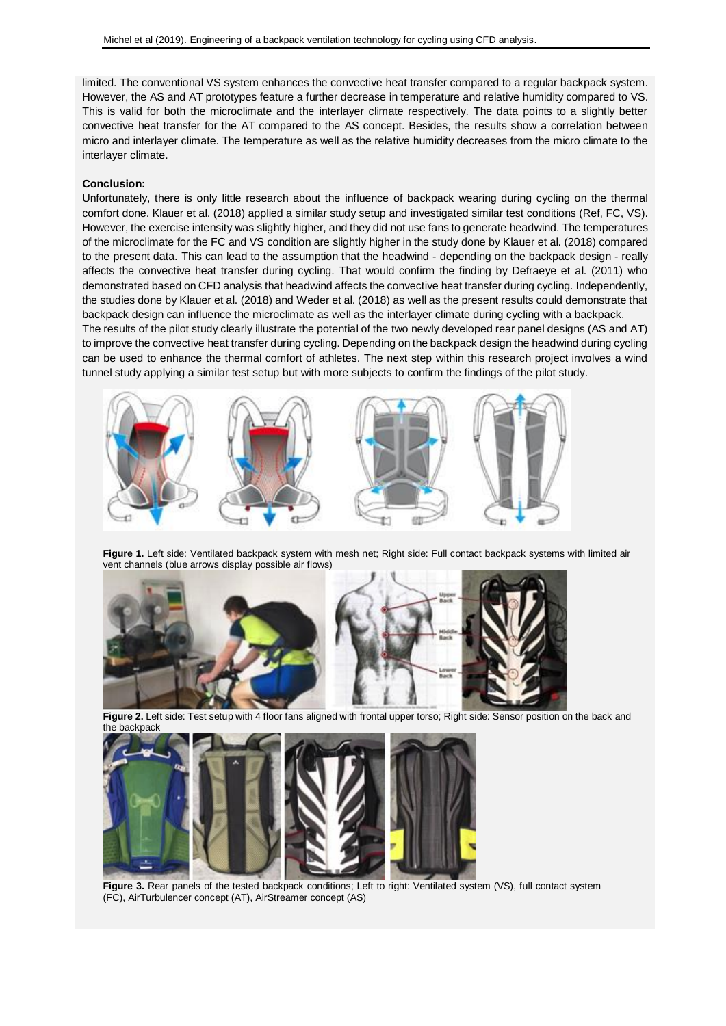limited. The conventional VS system enhances the convective heat transfer compared to a regular backpack system. However, the AS and AT prototypes feature a further decrease in temperature and relative humidity compared to VS. This is valid for both the microclimate and the interlayer climate respectively. The data points to a slightly better convective heat transfer for the AT compared to the AS concept. Besides, the results show a correlation between micro and interlayer climate. The temperature as well as the relative humidity decreases from the micro climate to the interlayer climate.

#### **Conclusion:**

Unfortunately, there is only little research about the influence of backpack wearing during cycling on the thermal comfort done. Klauer et al. (2018) applied a similar study setup and investigated similar test conditions (Ref, FC, VS). However, the exercise intensity was slightly higher, and they did not use fans to generate headwind. The temperatures of the microclimate for the FC and VS condition are slightly higher in the study done by Klauer et al. (2018) compared to the present data. This can lead to the assumption that the headwind - depending on the backpack design - really affects the convective heat transfer during cycling. That would confirm the finding by Defraeye et al. (2011) who demonstrated based on CFD analysis that headwind affects the convective heat transfer during cycling. Independently, the studies done by Klauer et al. (2018) and Weder et al. (2018) as well as the present results could demonstrate that backpack design can influence the microclimate as well as the interlayer climate during cycling with a backpack.

The results of the pilot study clearly illustrate the potential of the two newly developed rear panel designs (AS and AT) to improve the convective heat transfer during cycling. Depending on the backpack design the headwind during cycling can be used to enhance the thermal comfort of athletes. The next step within this research project involves a wind tunnel study applying a similar test setup but with more subjects to confirm the findings of the pilot study.



**Figure 1.** Left side: Ventilated backpack system with mesh net; Right side: Full contact backpack systems with limited air vent channels (blue arrows display possible air flows)



**Figure 2.** Left side: Test setup with 4 floor fans aligned with frontal upper torso; Right side: Sensor position on the back and the backpack



Figure 3. Rear panels of the tested backpack conditions; Left to right: Ventilated system (VS), full contact system (FC), AirTurbulencer concept (AT), AirStreamer concept (AS)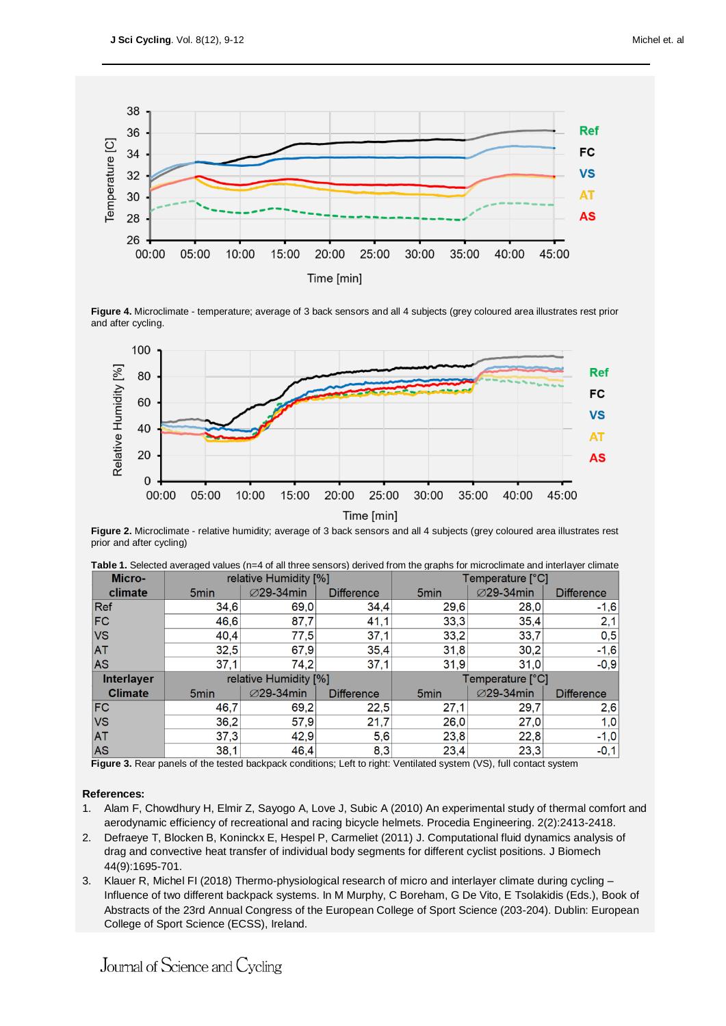

**Figure 4.** Microclimate - temperature; average of 3 back sensors and all 4 subjects (grey coloured area illustrates rest prior and after cycling.



**Figure 2.** Microclimate - relative humidity; average of 3 back sensors and all 4 subjects (grey coloured area illustrates rest prior and after cycling)

| Micro-            | relative Humidity [%] |                  |                   | Temperature [°C] |                  |                   |
|-------------------|-----------------------|------------------|-------------------|------------------|------------------|-------------------|
| climate           | 5 <sub>min</sub>      | <b>⊘29-34min</b> | <b>Difference</b> | 5 <sub>min</sub> | <b>⊘29-34min</b> | <b>Difference</b> |
| Ref               | 34,6                  | 69,0             | 34,4              | 29,6             | 28,0             | $-1,6$            |
| <b>FC</b>         | 46,6                  | 87,7             | 41,1              | 33,3             | 35,4             | 2,1               |
| <b>VS</b>         | 40,4                  | 77,5             | 37,1              | 33,2             | 33,7             | 0,5               |
| <b>AT</b>         | 32,5                  | 67,9             | 35,4              | 31,8             | 30,2             | $-1,6$            |
| <b>AS</b>         | 37,1                  | 74,2             | 37,1              | 31,9             | 31.0             | $-0,9$            |
| <b>Interlayer</b> | relative Humidity [%] |                  |                   | Temperature [°C] |                  |                   |
| <b>Climate</b>    | 5 <sub>min</sub>      | <b>⊘29-34min</b> | <b>Difference</b> | 5 <sub>min</sub> | <b>⊘29-34min</b> | <b>Difference</b> |
| <b>FC</b>         | 46,7                  | 69,2             | 22,5              | 27,1             | 29,7             | 2,6               |
| <b>VS</b>         | 36,2                  | 57,9             | 21,7              | 26,0             | 27,0             | 1,0               |
| AT                | 37,3                  | 42,9             | 5,6               | 23,8             | 22,8             | $-1,0$            |
| AS                | 38,1                  | 46,4             | 8,3               | 23,4             | 23,3             | $-0,1$            |

|        |                       | Table 1. Selected averaged values (n=4 of all three sensors) derived from the graphs for microclimate and interlayer climate |
|--------|-----------------------|------------------------------------------------------------------------------------------------------------------------------|
| Micro- | relative Humidity [%] | Temperature [°C]                                                                                                             |

**Figure 3.** Rear panels of the tested backpack conditions; Left to right: Ventilated system (VS), full contact system

### **References:**

- 1. Alam F, Chowdhury H, Elmir Z, Sayogo A, Love J, Subic A (2010) An experimental study of thermal comfort and aerodynamic efficiency of recreational and racing bicycle helmets. Procedia Engineering. 2(2):2413-2418.
- 2. Defraeye T, Blocken B, Koninckx E, Hespel P, Carmeliet (2011) J. Computational fluid dynamics analysis of drag and convective heat transfer of individual body segments for different cyclist positions. J Biomech 44(9):1695-701.
- 3. Klauer R, Michel FI (2018) Thermo-physiological research of micro and interlayer climate during cycling Influence of two different backpack systems. In M Murphy, C Boreham, G De Vito, E Tsolakidis (Eds.), Book of Abstracts of the 23rd Annual Congress of the European College of Sport Science (203-204). Dublin: European College of Sport Science (ECSS), Ireland.